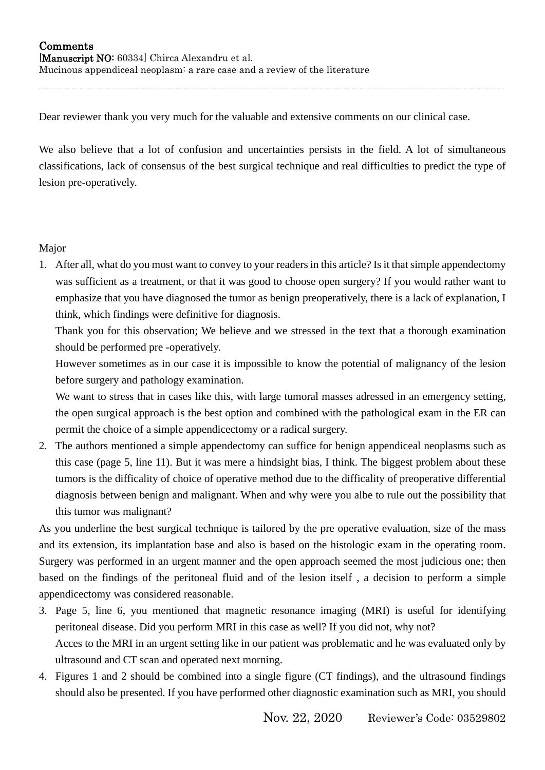## **Comments** [Manuscript NO: 60334] Chirca Alexandru et al. Mucinous appendiceal neoplasm: a rare case and a review of the literature

Dear reviewer thank you very much for the valuable and extensive comments on our clinical case.

We also believe that a lot of confusion and uncertainties persists in the field. A lot of simultaneous classifications, lack of consensus of the best surgical technique and real difficulties to predict the type of lesion pre-operatively.

## Major

1. After all, what do you most want to convey to your readersin this article? Is it that simple appendectomy was sufficient as a treatment, or that it was good to choose open surgery? If you would rather want to emphasize that you have diagnosed the tumor as benign preoperatively, there is a lack of explanation, I think, which findings were definitive for diagnosis.

Thank you for this observation; We believe and we stressed in the text that a thorough examination should be performed pre -operatively.

However sometimes as in our case it is impossible to know the potential of malignancy of the lesion before surgery and pathology examination.

We want to stress that in cases like this, with large tumoral masses adressed in an emergency setting, the open surgical approach is the best option and combined with the pathological exam in the ER can permit the choice of a simple appendicectomy or a radical surgery.

2. The authors mentioned a simple appendectomy can suffice for benign appendiceal neoplasms such as this case (page 5, line 11). But it was mere a hindsight bias, I think. The biggest problem about these tumors is the difficality of choice of operative method due to the difficality of preoperative differential diagnosis between benign and malignant. When and why were you albe to rule out the possibility that this tumor was malignant?

As you underline the best surgical technique is tailored by the pre operative evaluation, size of the mass and its extension, its implantation base and also is based on the histologic exam in the operating room. Surgery was performed in an urgent manner and the open approach seemed the most judicious one; then based on the findings of the peritoneal fluid and of the lesion itself , a decision to perform a simple appendicectomy was considered reasonable.

- 3. Page 5, line 6, you mentioned that magnetic resonance imaging (MRI) is useful for identifying peritoneal disease. Did you perform MRI in this case as well? If you did not, why not? Acces to the MRI in an urgent setting like in our patient was problematic and he was evaluated only by ultrasound and CT scan and operated next morning.
- 4. Figures 1 and 2 should be combined into a single figure (CT findings), and the ultrasound findings should also be presented. If you have performed other diagnostic examination such as MRI, you should